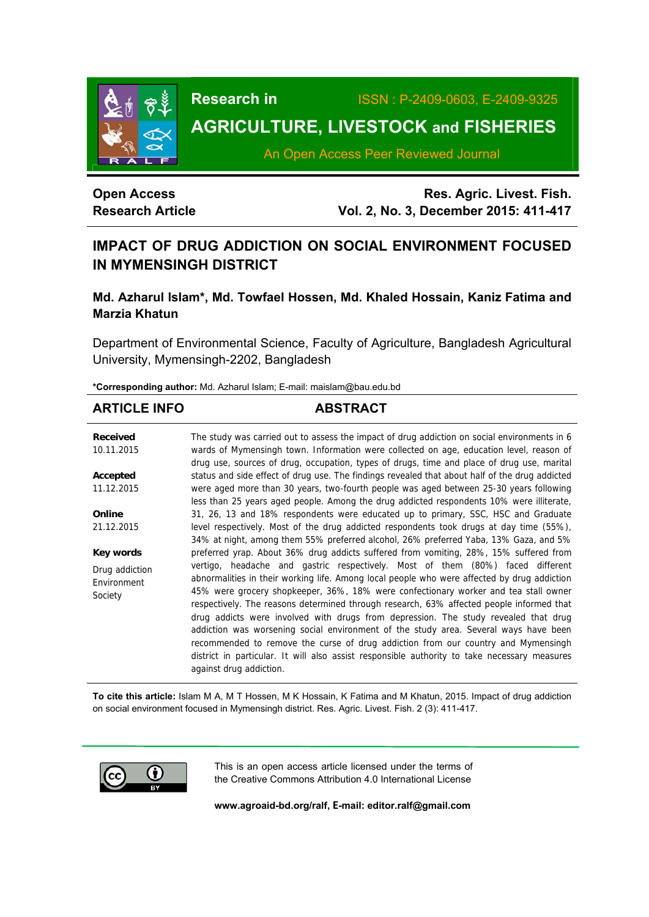

**Research in** ISSN : P-2409-0603, E-2409-9325

# **AGRICULTURE, LIVESTOCK and FISHERIES**

An Open Access Peer Reviewed Journal

## **Open Access Research Article**

**Res. Agric. Livest. Fish. Vol. 2, No. 3, December 2015: 411-417**

## **IMPACT OF DRUG ADDICTION ON SOCIAL ENVIRONMENT FOCUSED IN MYMENSINGH DISTRICT**

## **Md. Azharul Islam\*, Md. Towfael Hossen, Md. Khaled Hossain, Kaniz Fatima and Marzia Khatun**

Department of Environmental Science, Faculty of Agriculture, Bangladesh Agricultural University, Mymensingh-2202, Bangladesh

**\*Corresponding author:** Md. Azharul Islam; E-mail: maislam@bau.edu.bd

## **ARTICLE INFO ABSTRACT**

| Received<br>10.11.2015                   | The study was carried out to assess the impact of drug addiction on social environments in 6<br>wards of Mymensingh town. Information were collected on age, education level, reason of<br>drug use, sources of drug, occupation, types of drugs, time and place of drug use, marital                                                                                                                                                                                                                                                                                                                                                |
|------------------------------------------|--------------------------------------------------------------------------------------------------------------------------------------------------------------------------------------------------------------------------------------------------------------------------------------------------------------------------------------------------------------------------------------------------------------------------------------------------------------------------------------------------------------------------------------------------------------------------------------------------------------------------------------|
| Accepted                                 | status and side effect of drug use. The findings revealed that about half of the drug addicted                                                                                                                                                                                                                                                                                                                                                                                                                                                                                                                                       |
| 11.12.2015                               | were aged more than 30 years, two-fourth people was aged between 25-30 years following<br>less than 25 years aged people. Among the drug addicted respondents 10% were illiterate,                                                                                                                                                                                                                                                                                                                                                                                                                                                   |
| Online                                   | 31, 26, 13 and 18% respondents were educated up to primary, SSC, HSC and Graduate                                                                                                                                                                                                                                                                                                                                                                                                                                                                                                                                                    |
| 21.12.2015                               | level respectively. Most of the drug addicted respondents took drugs at day time (55%),<br>34% at night, among them 55% preferred alcohol, 26% preferred Yaba, 13% Gaza, and 5%                                                                                                                                                                                                                                                                                                                                                                                                                                                      |
| Key words                                | preferred yrap. About 36% drug addicts suffered from vomiting, 28%, 15% suffered from                                                                                                                                                                                                                                                                                                                                                                                                                                                                                                                                                |
| Drug addiction<br>Environment<br>Society | vertigo, headache and gastric respectively. Most of them (80%) faced different<br>abnormalities in their working life. Among local people who were affected by drug addiction<br>45% were grocery shopkeeper, 36%, 18% were confectionary worker and tea stall owner<br>respectively. The reasons determined through research, 63% affected people informed that<br>drug addicts were involved with drugs from depression. The study revealed that drug<br>addiction was worsening social environment of the study area. Several ways have been<br>recommended to remove the curse of drug addiction from our country and Mymensingh |
|                                          | district in particular. It will also assist responsible authority to take necessary measures<br>against drug addiction.                                                                                                                                                                                                                                                                                                                                                                                                                                                                                                              |

**To cite this article:** Islam M A, M T Hossen, M K Hossain, K Fatima and M Khatun, 2015. Impact of drug addiction on social environment focused in Mymensingh district. Res. Agric. Livest. Fish. 2 (3): 411-417.



This is an open access article licensed under the terms of the Creative Commons Attribution 4.0 International License

**www.agroaid-bd.org/ralf, E-mail: editor.ralf@gmail.com**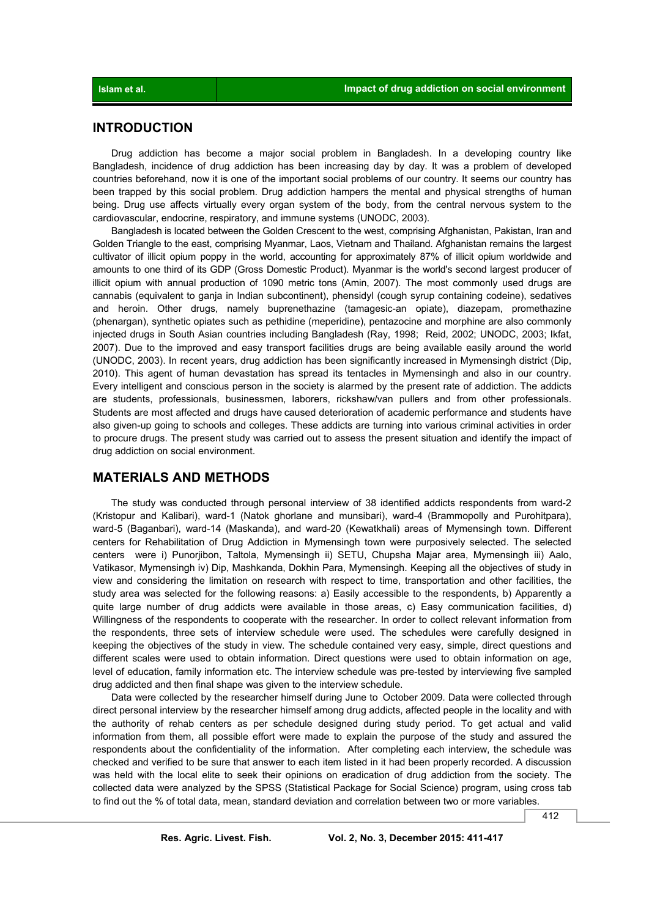## **INTRODUCTION**

 Drug addiction has become a major social problem in Bangladesh. In a developing country like Bangladesh, incidence of drug addiction has been increasing day by day. It was a problem of developed countries beforehand, now it is one of the important social problems of our country. It seems our country has been trapped by this social problem. Drug addiction hampers the mental and physical strengths of human being. Drug use affects virtually every organ system of the body, from the central nervous system to the cardiovascular, endocrine, respiratory, and immune systems (UNODC, 2003).

 Bangladesh is located between the Golden Crescent to the west, comprising Afghanistan, Pakistan, Iran and Golden Triangle to the east, comprising Myanmar, Laos, Vietnam and Thailand. Afghanistan remains the largest cultivator of illicit opium poppy in the world, accounting for approximately 87% of illicit opium worldwide and amounts to one third of its GDP (Gross Domestic Product). Myanmar is the world's second largest producer of illicit opium with annual production of 1090 metric tons (Amin, 2007). The most commonly used drugs are cannabis (equivalent to ganja in Indian subcontinent), phensidyl (cough syrup containing codeine), sedatives and heroin. Other drugs, namely buprenethazine (tamagesic-an opiate), diazepam, promethazine (phenargan), synthetic opiates such as pethidine (meperidine), pentazocine and morphine are also commonly injected drugs in South Asian countries including Bangladesh (Ray, 1998; Reid, 2002; UNODC, 2003; Ikfat, 2007). Due to the improved and easy transport facilities drugs are being available easily around the world (UNODC, 2003). In recent years, drug addiction has been significantly increased in Mymensingh district (Dip, 2010). This agent of human devastation has spread its tentacles in Mymensingh and also in our country. Every intelligent and conscious person in the society is alarmed by the present rate of addiction. The addicts are students, professionals, businessmen, laborers, rickshaw/van pullers and from other professionals. Students are most affected and drugs have caused deterioration of academic performance and students have also given-up going to schools and colleges. These addicts are turning into various criminal activities in order to procure drugs. The present study was carried out to assess the present situation and identify the impact of drug addiction on social environment.

### **MATERIALS AND METHODS**

 The study was conducted through personal interview of 38 identified addicts respondents from ward-2 (Kristopur and Kalibari), ward-1 (Natok ghorlane and munsibari), ward-4 (Brammopolly and Purohitpara), ward-5 (Baganbari), ward-14 (Maskanda), and ward-20 (Kewatkhali) areas of Mymensingh town. Different centers for Rehabilitation of Drug Addiction in Mymensingh town were purposively selected. The selected centers were i) Punorjibon, Taltola, Mymensingh ii) SETU, Chupsha Majar area, Mymensingh iii) Aalo, Vatikasor, Mymensingh iv) Dip, Mashkanda, Dokhin Para, Mymensingh. Keeping all the objectives of study in view and considering the limitation on research with respect to time, transportation and other facilities, the study area was selected for the following reasons: a) Easily accessible to the respondents, b) Apparently a quite large number of drug addicts were available in those areas, c) Easy communication facilities, d) Willingness of the respondents to cooperate with the researcher. In order to collect relevant information from the respondents, three sets of interview schedule were used. The schedules were carefully designed in keeping the objectives of the study in view. The schedule contained very easy, simple, direct questions and different scales were used to obtain information. Direct questions were used to obtain information on age, level of education, family information etc. The interview schedule was pre-tested by interviewing five sampled drug addicted and then final shape was given to the interview schedule.

 Data were collected by the researcher himself during June to .October 2009. Data were collected through direct personal interview by the researcher himself among drug addicts, affected people in the locality and with the authority of rehab centers as per schedule designed during study period. To get actual and valid information from them, all possible effort were made to explain the purpose of the study and assured the respondents about the confidentiality of the information. After completing each interview, the schedule was checked and verified to be sure that answer to each item listed in it had been properly recorded. A discussion was held with the local elite to seek their opinions on eradication of drug addiction from the society. The collected data were analyzed by the SPSS (Statistical Package for Social Science) program, using cross tab to find out the % of total data, mean, standard deviation and correlation between two or more variables.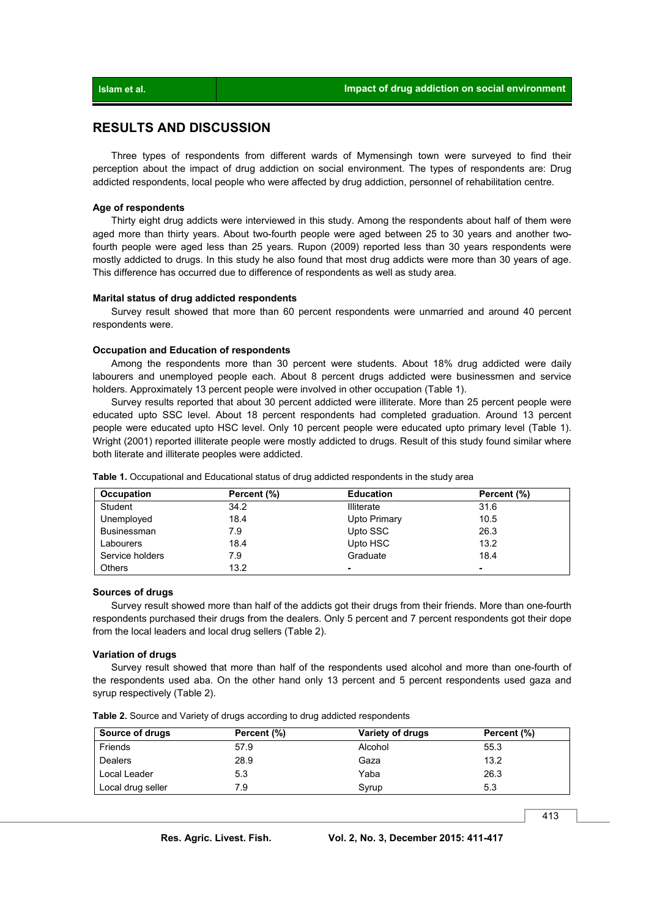## **RESULTS AND DISCUSSION**

Three types of respondents from different wards of Mymensingh town were surveyed to find their perception about the impact of drug addiction on social environment. The types of respondents are: Drug addicted respondents, local people who were affected by drug addiction, personnel of rehabilitation centre.

#### **Age of respondents**

 Thirty eight drug addicts were interviewed in this study. Among the respondents about half of them were aged more than thirty years. About two-fourth people were aged between 25 to 30 years and another twofourth people were aged less than 25 years. Rupon (2009) reported less than 30 years respondents were mostly addicted to drugs. In this study he also found that most drug addicts were more than 30 years of age. This difference has occurred due to difference of respondents as well as study area.

#### **Marital status of drug addicted respondents**

 Survey result showed that more than 60 percent respondents were unmarried and around 40 percent respondents were.

#### **Occupation and Education of respondents**

 Among the respondents more than 30 percent were students. About 18% drug addicted were daily labourers and unemployed people each. About 8 percent drugs addicted were businessmen and service holders. Approximately 13 percent people were involved in other occupation (Table 1).

 Survey results reported that about 30 percent addicted were illiterate. More than 25 percent people were educated upto SSC level. About 18 percent respondents had completed graduation. Around 13 percent people were educated upto HSC level. Only 10 percent people were educated upto primary level (Table 1). Wright (2001) reported illiterate people were mostly addicted to drugs. Result of this study found similar where both literate and illiterate peoples were addicted.

| <b>Occupation</b>  | Percent (%) | <b>Education</b>  | Percent (%)    |
|--------------------|-------------|-------------------|----------------|
| Student            | 34.2        | <b>Illiterate</b> | 31.6           |
| Unemployed         | 18.4        | Upto Primary      | 10.5           |
| <b>Businessman</b> | 7.9         | Upto SSC          | 26.3           |
| Labourers          | 18.4        | Upto HSC          | 13.2           |
| Service holders    | 7.9         | Graduate          | 18.4           |
| <b>Others</b>      | 13.2        | -                 | $\blacksquare$ |

**Table 1.** Occupational and Educational status of drug addicted respondents in the study area

#### **Sources of drugs**

 Survey result showed more than half of the addicts got their drugs from their friends. More than one-fourth respondents purchased their drugs from the dealers. Only 5 percent and 7 percent respondents got their dope from the local leaders and local drug sellers (Table 2).

#### **Variation of drugs**

 Survey result showed that more than half of the respondents used alcohol and more than one-fourth of the respondents used aba. On the other hand only 13 percent and 5 percent respondents used gaza and syrup respectively (Table 2).

|  |  |  |  | Table 2. Source and Variety of drugs according to drug addicted respondents |
|--|--|--|--|-----------------------------------------------------------------------------|
|--|--|--|--|-----------------------------------------------------------------------------|

| Source of drugs   | Percent (%) | Variety of drugs | Percent (%) |
|-------------------|-------------|------------------|-------------|
| Friends           | 57.9        | Alcohol          | 55.3        |
| <b>Dealers</b>    | 28.9        | Gaza             | 13.2        |
| Local Leader      | 5.3         | Yaba             | 26.3        |
| Local drug seller | 7.9         | Syrup            | 5.3         |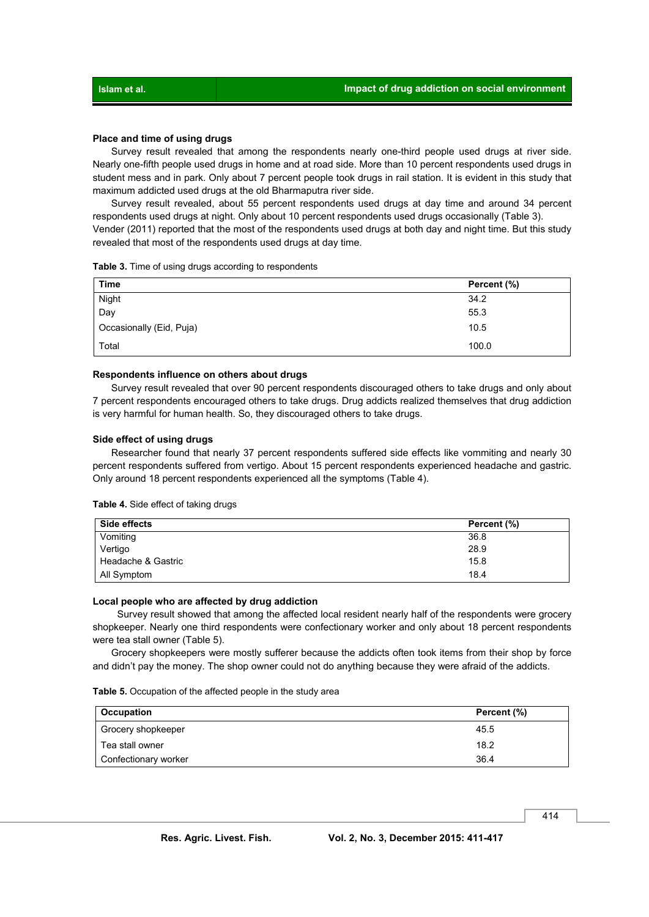#### **Place and time of using drugs**

 Survey result revealed that among the respondents nearly one-third people used drugs at river side. Nearly one-fifth people used drugs in home and at road side. More than 10 percent respondents used drugs in student mess and in park. Only about 7 percent people took drugs in rail station. It is evident in this study that maximum addicted used drugs at the old Bharmaputra river side.

 Survey result revealed, about 55 percent respondents used drugs at day time and around 34 percent respondents used drugs at night. Only about 10 percent respondents used drugs occasionally (Table 3).

Vender (2011) reported that the most of the respondents used drugs at both day and night time. But this study revealed that most of the respondents used drugs at day time.

|  |  | Table 3. Time of using drugs according to respondents |  |
|--|--|-------------------------------------------------------|--|
|  |  |                                                       |  |

| <b>Time</b>              | Percent (%) |
|--------------------------|-------------|
| Night                    | 34.2        |
| Day                      | 55.3        |
| Occasionally (Eid, Puja) | 10.5        |
| Total                    | 100.0       |

#### **Respondents influence on others about drugs**

 Survey result revealed that over 90 percent respondents discouraged others to take drugs and only about 7 percent respondents encouraged others to take drugs. Drug addicts realized themselves that drug addiction is very harmful for human health. So, they discouraged others to take drugs.

#### **Side effect of using drugs**

 Researcher found that nearly 37 percent respondents suffered side effects like vommiting and nearly 30 percent respondents suffered from vertigo. About 15 percent respondents experienced headache and gastric. Only around 18 percent respondents experienced all the symptoms (Table 4).

#### **Table 4.** Side effect of taking drugs

| Side effects       | Percent (%) |
|--------------------|-------------|
| Vomiting           | 36.8        |
| Vertigo            | 28.9        |
| Headache & Gastric | 15.8        |
| All Symptom        | 18.4        |

#### **Local people who are affected by drug addiction**

 Survey result showed that among the affected local resident nearly half of the respondents were grocery shopkeeper. Nearly one third respondents were confectionary worker and only about 18 percent respondents were tea stall owner (Table 5).

 Grocery shopkeepers were mostly sufferer because the addicts often took items from their shop by force and didn't pay the money. The shop owner could not do anything because they were afraid of the addicts.

**Table 5.** Occupation of the affected people in the study area

| Occupation           | Percent (%) |
|----------------------|-------------|
| Grocery shopkeeper   | 45.5        |
| Tea stall owner      | 18.2        |
| Confectionary worker | 36.4        |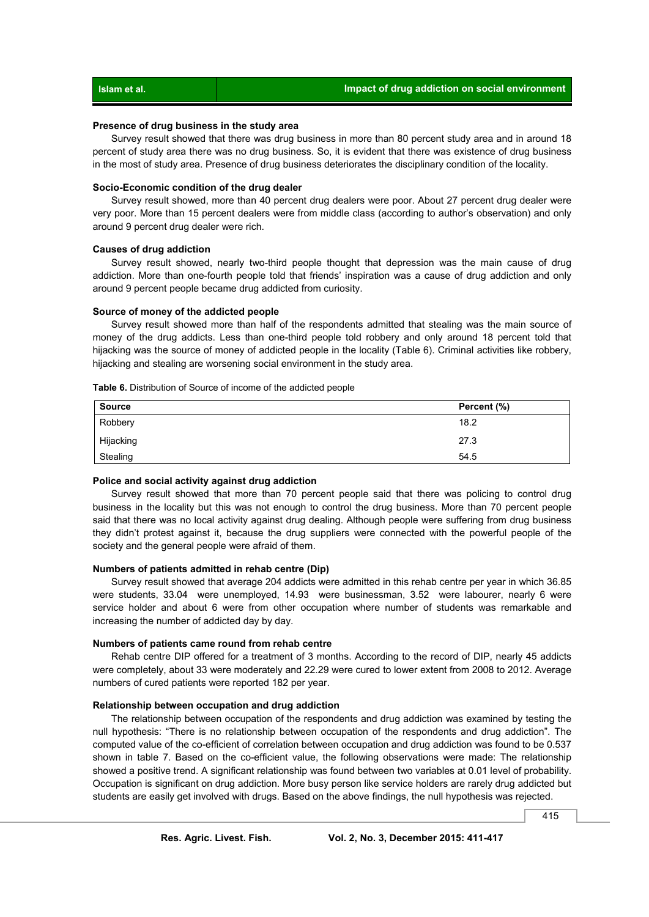#### **Presence of drug business in the study area**

 Survey result showed that there was drug business in more than 80 percent study area and in around 18 percent of study area there was no drug business. So, it is evident that there was existence of drug business in the most of study area. Presence of drug business deteriorates the disciplinary condition of the locality.

#### **Socio-Economic condition of the drug dealer**

 Survey result showed, more than 40 percent drug dealers were poor. About 27 percent drug dealer were very poor. More than 15 percent dealers were from middle class (according to author's observation) and only around 9 percent drug dealer were rich.

#### **Causes of drug addiction**

 Survey result showed, nearly two-third people thought that depression was the main cause of drug addiction. More than one-fourth people told that friends' inspiration was a cause of drug addiction and only around 9 percent people became drug addicted from curiosity.

#### **Source of money of the addicted people**

 Survey result showed more than half of the respondents admitted that stealing was the main source of money of the drug addicts. Less than one-third people told robbery and only around 18 percent told that hijacking was the source of money of addicted people in the locality (Table 6). Criminal activities like robbery, hijacking and stealing are worsening social environment in the study area.

**Table 6.** Distribution of Source of income of the addicted people

| <b>Source</b> | Percent (%) |
|---------------|-------------|
| Robbery       | 18.2        |
| Hijacking     | 27.3        |
| Stealing      | 54.5        |

#### **Police and social activity against drug addiction**

 Survey result showed that more than 70 percent people said that there was policing to control drug business in the locality but this was not enough to control the drug business. More than 70 percent people said that there was no local activity against drug dealing. Although people were suffering from drug business they didn't protest against it, because the drug suppliers were connected with the powerful people of the society and the general people were afraid of them.

#### **Numbers of patients admitted in rehab centre (Dip)**

 Survey result showed that average 204 addicts were admitted in this rehab centre per year in which 36.85 were students, 33.04 were unemployed, 14.93 were businessman, 3.52 were labourer, nearly 6 were service holder and about 6 were from other occupation where number of students was remarkable and increasing the number of addicted day by day.

#### **Numbers of patients came round from rehab centre**

 Rehab centre DIP offered for a treatment of 3 months. According to the record of DIP, nearly 45 addicts were completely, about 33 were moderately and 22.29 were cured to lower extent from 2008 to 2012. Average numbers of cured patients were reported 182 per year.

#### **Relationship between occupation and drug addiction**

 The relationship between occupation of the respondents and drug addiction was examined by testing the null hypothesis: "There is no relationship between occupation of the respondents and drug addiction". The computed value of the co-efficient of correlation between occupation and drug addiction was found to be 0.537 shown in table 7. Based on the co-efficient value, the following observations were made: The relationship showed a positive trend. A significant relationship was found between two variables at 0.01 level of probability. Occupation is significant on drug addiction. More busy person like service holders are rarely drug addicted but students are easily get involved with drugs. Based on the above findings, the null hypothesis was rejected.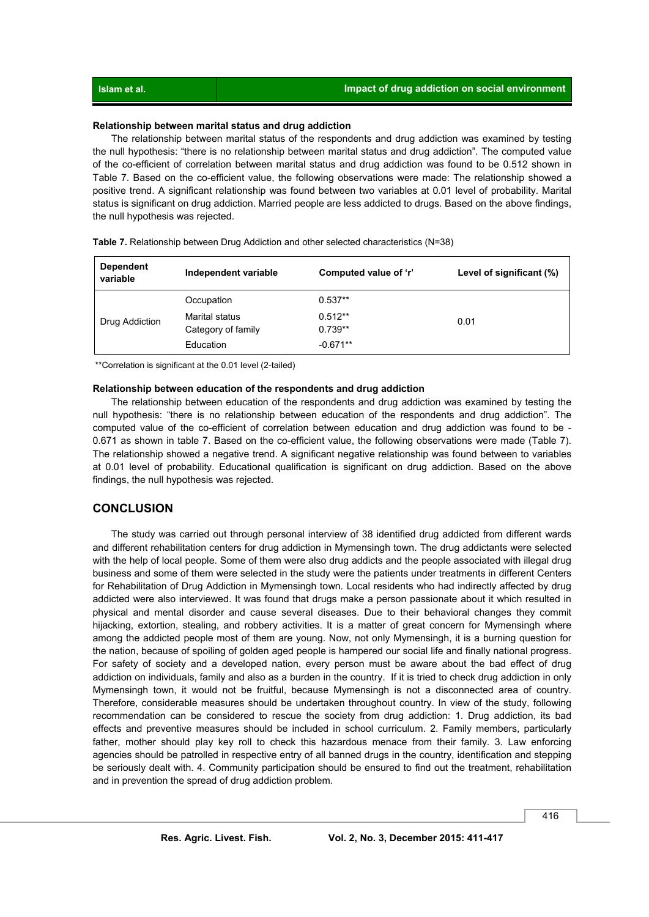#### **Relationship between marital status and drug addiction**

 The relationship between marital status of the respondents and drug addiction was examined by testing the null hypothesis: "there is no relationship between marital status and drug addiction". The computed value of the co-efficient of correlation between marital status and drug addiction was found to be 0.512 shown in Table 7. Based on the co-efficient value, the following observations were made: The relationship showed a positive trend. A significant relationship was found between two variables at 0.01 level of probability. Marital status is significant on drug addiction. Married people are less addicted to drugs. Based on the above findings, the null hypothesis was rejected.

| <b>Dependent</b><br>variable | Independent variable                 | Computed value of 'r'  | Level of significant (%) |
|------------------------------|--------------------------------------|------------------------|--------------------------|
|                              | Occupation                           | $0.537**$              |                          |
| Drug Addiction               | Marital status<br>Category of family | $0.512**$<br>$0.739**$ | 0.01                     |
|                              | Education                            | $-0.671**$             |                          |

**Table 7.** Relationship between Drug Addiction and other selected characteristics (N=38)

\*\*Correlation is significant at the 0.01 level (2-tailed)

#### **Relationship between education of the respondents and drug addiction**

 The relationship between education of the respondents and drug addiction was examined by testing the null hypothesis: "there is no relationship between education of the respondents and drug addiction". The computed value of the co-efficient of correlation between education and drug addiction was found to be - 0.671 as shown in table 7. Based on the co-efficient value, the following observations were made (Table 7). The relationship showed a negative trend. A significant negative relationship was found between to variables at 0.01 level of probability. Educational qualification is significant on drug addiction. Based on the above findings, the null hypothesis was rejected.

### **CONCLUSION**

 The study was carried out through personal interview of 38 identified drug addicted from different wards and different rehabilitation centers for drug addiction in Mymensingh town. The drug addictants were selected with the help of local people. Some of them were also drug addicts and the people associated with illegal drug business and some of them were selected in the study were the patients under treatments in different Centers for Rehabilitation of Drug Addiction in Mymensingh town. Local residents who had indirectly affected by drug addicted were also interviewed. It was found that drugs make a person passionate about it which resulted in physical and mental disorder and cause several diseases. Due to their behavioral changes they commit hijacking, extortion, stealing, and robbery activities. It is a matter of great concern for Mymensingh where among the addicted people most of them are young. Now, not only Mymensingh, it is a burning question for the nation, because of spoiling of golden aged people is hampered our social life and finally national progress. For safety of society and a developed nation, every person must be aware about the bad effect of drug addiction on individuals, family and also as a burden in the country. If it is tried to check drug addiction in only Mymensingh town, it would not be fruitful, because Mymensingh is not a disconnected area of country. Therefore, considerable measures should be undertaken throughout country. In view of the study, following recommendation can be considered to rescue the society from drug addiction: 1. Drug addiction, its bad effects and preventive measures should be included in school curriculum. 2. Family members, particularly father, mother should play key roll to check this hazardous menace from their family. 3. Law enforcing agencies should be patrolled in respective entry of all banned drugs in the country, identification and stepping be seriously dealt with. 4. Community participation should be ensured to find out the treatment, rehabilitation and in prevention the spread of drug addiction problem.